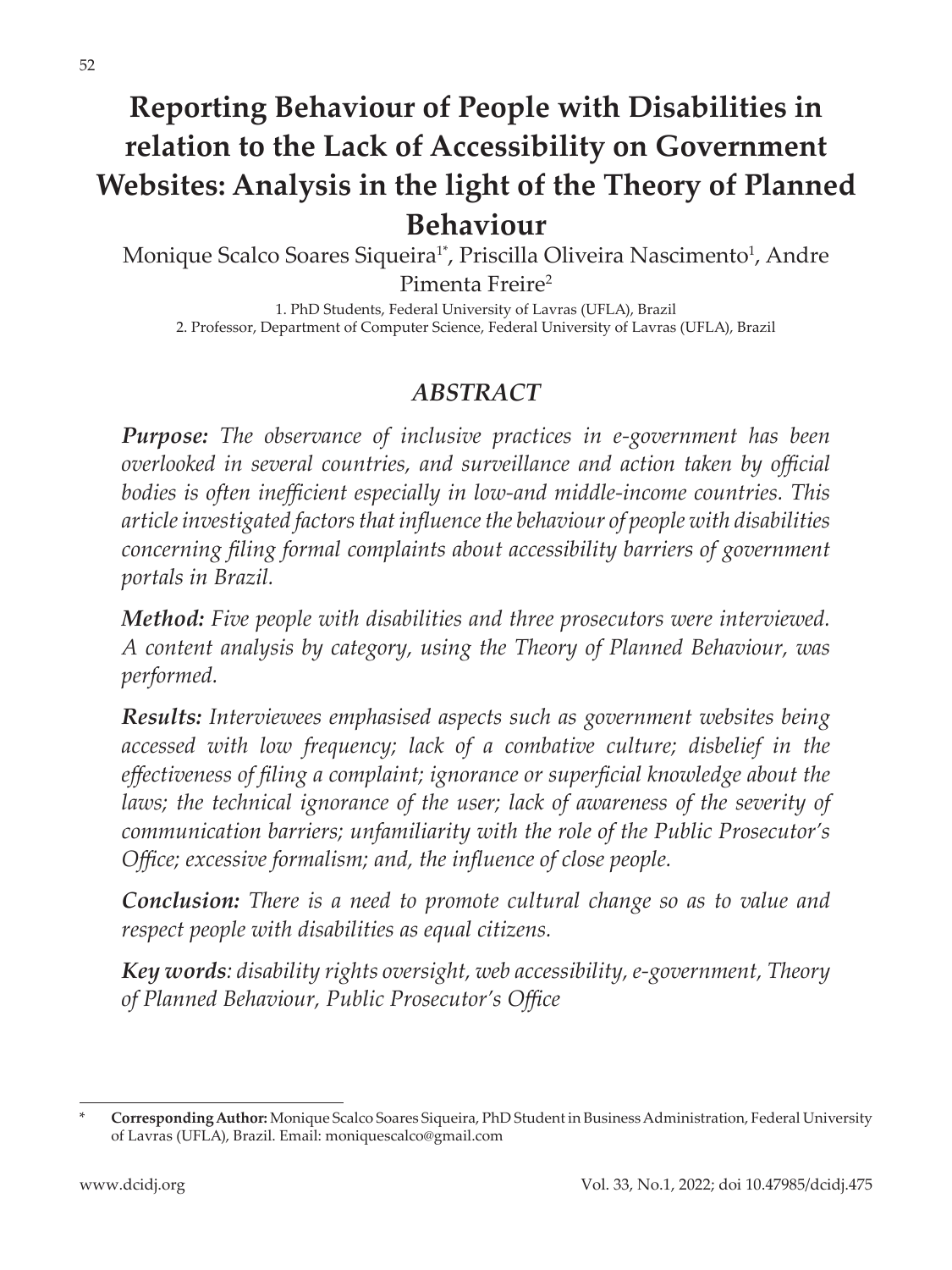# **Reporting Behaviour of People with Disabilities in relation to the Lack of Accessibility on Government Websites: Analysis in the light of the Theory of Planned Behaviour**

Monique Scalco Soares Siqueira<sup>1\*</sup>, Priscilla Oliveira Nascimento<sup>1</sup>, Andre Pimenta Freire2

1. PhD Students, Federal University of Lavras (UFLA), Brazil 2. Professor, Department of Computer Science, Federal University of Lavras (UFLA), Brazil

#### *ABSTRACT*

*Purpose: The observance of inclusive practices in e-government has been overlooked in several countries, and surveillance and action taken by official bodies is often inefficient especially in low-and middle-income countries. This article investigated factors that influence the behaviour of people with disabilities concerning filing formal complaints about accessibility barriers of government portals in Brazil.* 

*Method: Five people with disabilities and three prosecutors were interviewed. A content analysis by category, using the Theory of Planned Behaviour, was performed.*

*Results: Interviewees emphasised aspects such as government websites being accessed with low frequency; lack of a combative culture; disbelief in the effectiveness of filing a complaint; ignorance or superficial knowledge about the*  laws; the technical ignorance of the user; lack of awareness of the severity of *communication barriers; unfamiliarity with the role of the Public Prosecutor's Office; excessive formalism; and, the influence of close people.* 

*Conclusion: There is a need to promote cultural change so as to value and respect people with disabilities as equal citizens.*

*Key words: disability rights oversight, web accessibility, e-government, Theory of Planned Behaviour, Public Prosecutor's Office*

<sup>\*</sup> **Corresponding Author:** Monique Scalco Soares Siqueira, PhD Student in Business Administration, Federal University of Lavras (UFLA), Brazil. Email: moniquescalco@gmail.com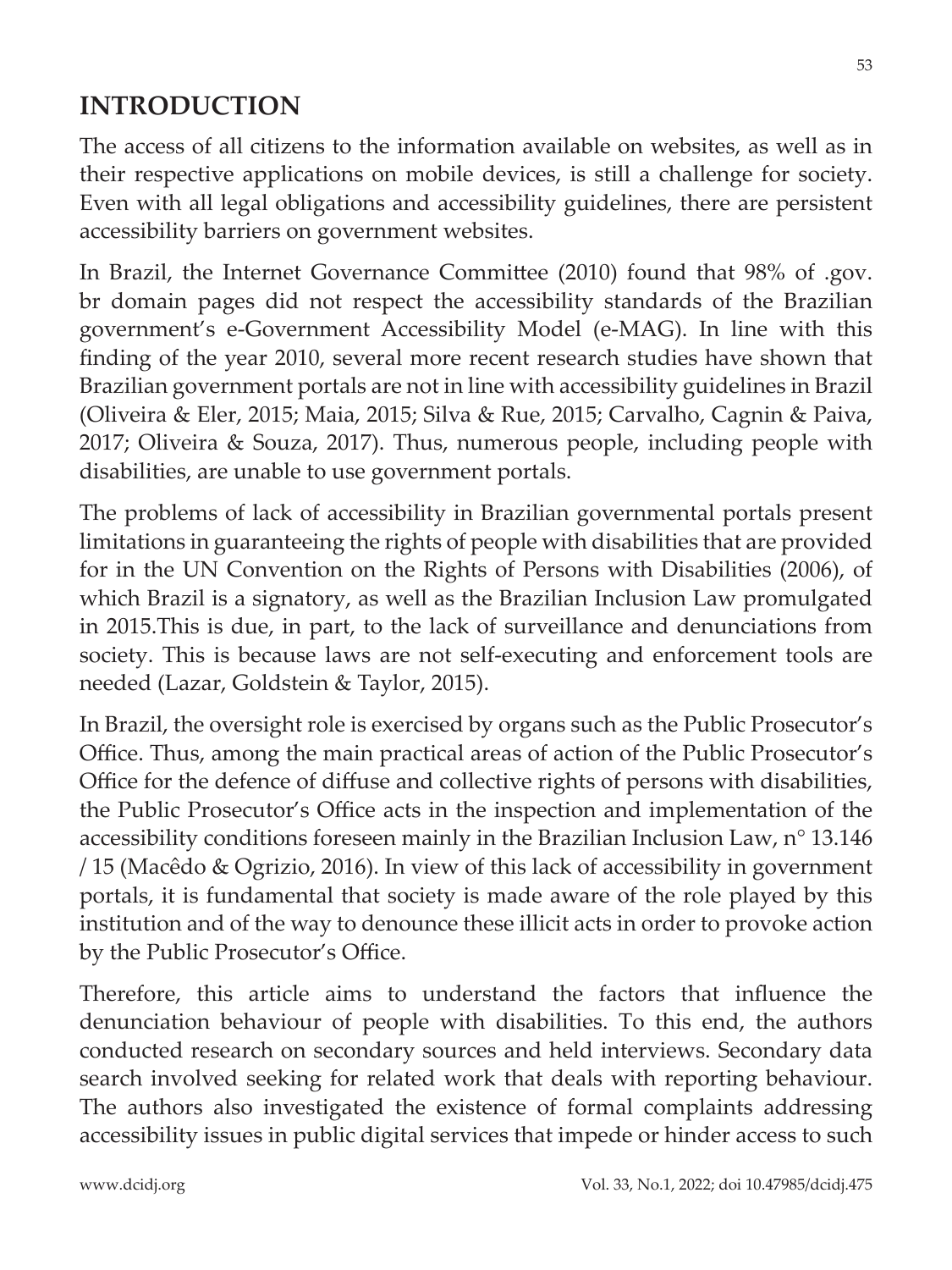## **INTRODUCTION**

The access of all citizens to the information available on websites, as well as in their respective applications on mobile devices, is still a challenge for society. Even with all legal obligations and accessibility guidelines, there are persistent accessibility barriers on government websites.

In Brazil, the Internet Governance Committee (2010) found that 98% of .gov. br domain pages did not respect the accessibility standards of the Brazilian government's e-Government Accessibility Model (e-MAG). In line with this finding of the year 2010, several more recent research studies have shown that Brazilian government portals are not in line with accessibility guidelines in Brazil (Oliveira & Eler, 2015; Maia, 2015; Silva & Rue, 2015; Carvalho, Cagnin & Paiva, 2017; Oliveira & Souza, 2017). Thus, numerous people, including people with disabilities, are unable to use government portals.

The problems of lack of accessibility in Brazilian governmental portals present limitations in guaranteeing the rights of people with disabilities that are provided for in the UN Convention on the Rights of Persons with Disabilities (2006), of which Brazil is a signatory, as well as the Brazilian Inclusion Law promulgated in 2015.This is due, in part, to the lack of surveillance and denunciations from society. This is because laws are not self-executing and enforcement tools are needed (Lazar, Goldstein & Taylor, 2015).

In Brazil, the oversight role is exercised by organs such as the Public Prosecutor's Office. Thus, among the main practical areas of action of the Public Prosecutor's Office for the defence of diffuse and collective rights of persons with disabilities, the Public Prosecutor's Office acts in the inspection and implementation of the accessibility conditions foreseen mainly in the Brazilian Inclusion Law, n° 13.146 / 15 (Macêdo & Ogrizio, 2016). In view of this lack of accessibility in government portals, it is fundamental that society is made aware of the role played by this institution and of the way to denounce these illicit acts in order to provoke action by the Public Prosecutor's Office.

Therefore, this article aims to understand the factors that influence the denunciation behaviour of people with disabilities. To this end, the authors conducted research on secondary sources and held interviews. Secondary data search involved seeking for related work that deals with reporting behaviour. The authors also investigated the existence of formal complaints addressing accessibility issues in public digital services that impede or hinder access to such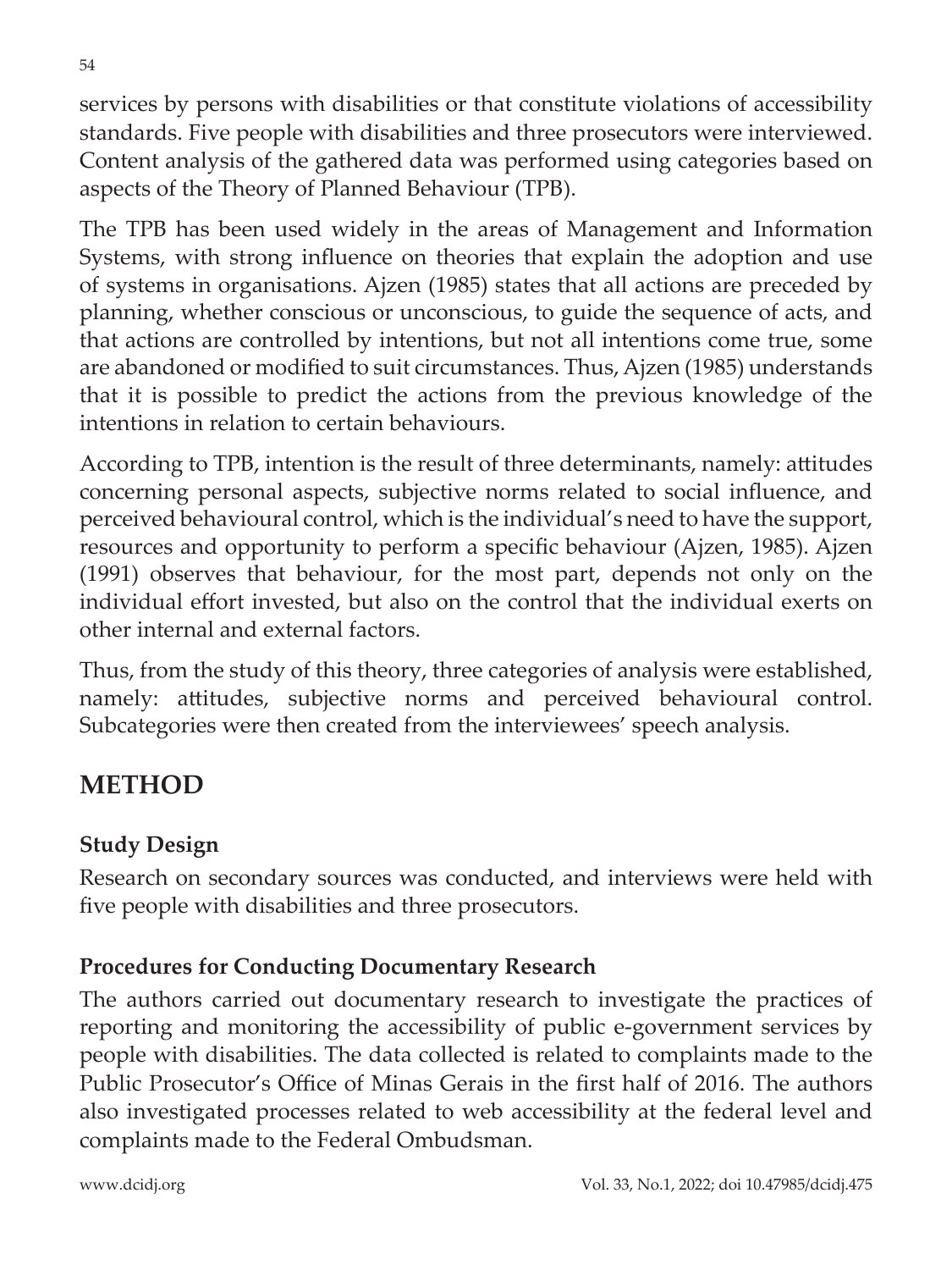services by persons with disabilities or that constitute violations of accessibility standards. Five people with disabilities and three prosecutors were interviewed. Content analysis of the gathered data was performed using categories based on aspects of the Theory of Planned Behaviour (TPB).

The TPB has been used widely in the areas of Management and Information Systems, with strong influence on theories that explain the adoption and use of systems in organisations. Ajzen (1985) states that all actions are preceded by planning, whether conscious or unconscious, to guide the sequence of acts, and that actions are controlled by intentions, but not all intentions come true, some are abandoned or modified to suit circumstances. Thus, Ajzen (1985) understands that it is possible to predict the actions from the previous knowledge of the intentions in relation to certain behaviours.

According to TPB, intention is the result of three determinants, namely: attitudes concerning personal aspects, subjective norms related to social influence, and perceived behavioural control, which is the individual's need to have the support, resources and opportunity to perform a specific behaviour (Ajzen, 1985). Ajzen (1991) observes that behaviour, for the most part, depends not only on the individual effort invested, but also on the control that the individual exerts on other internal and external factors.

Thus, from the study of this theory, three categories of analysis were established, namely: attitudes, subjective norms and perceived behavioural control. Subcategories were then created from the interviewees' speech analysis.

## **METHOD**

### **Study Design**

Research on secondary sources was conducted, and interviews were held with five people with disabilities and three prosecutors.

### **Procedures for Conducting Documentary Research**

The authors carried out documentary research to investigate the practices of reporting and monitoring the accessibility of public e-government services by people with disabilities. The data collected is related to complaints made to the Public Prosecutor's Office of Minas Gerais in the first half of 2016. The authors also investigated processes related to web accessibility at the federal level and complaints made to the Federal Ombudsman.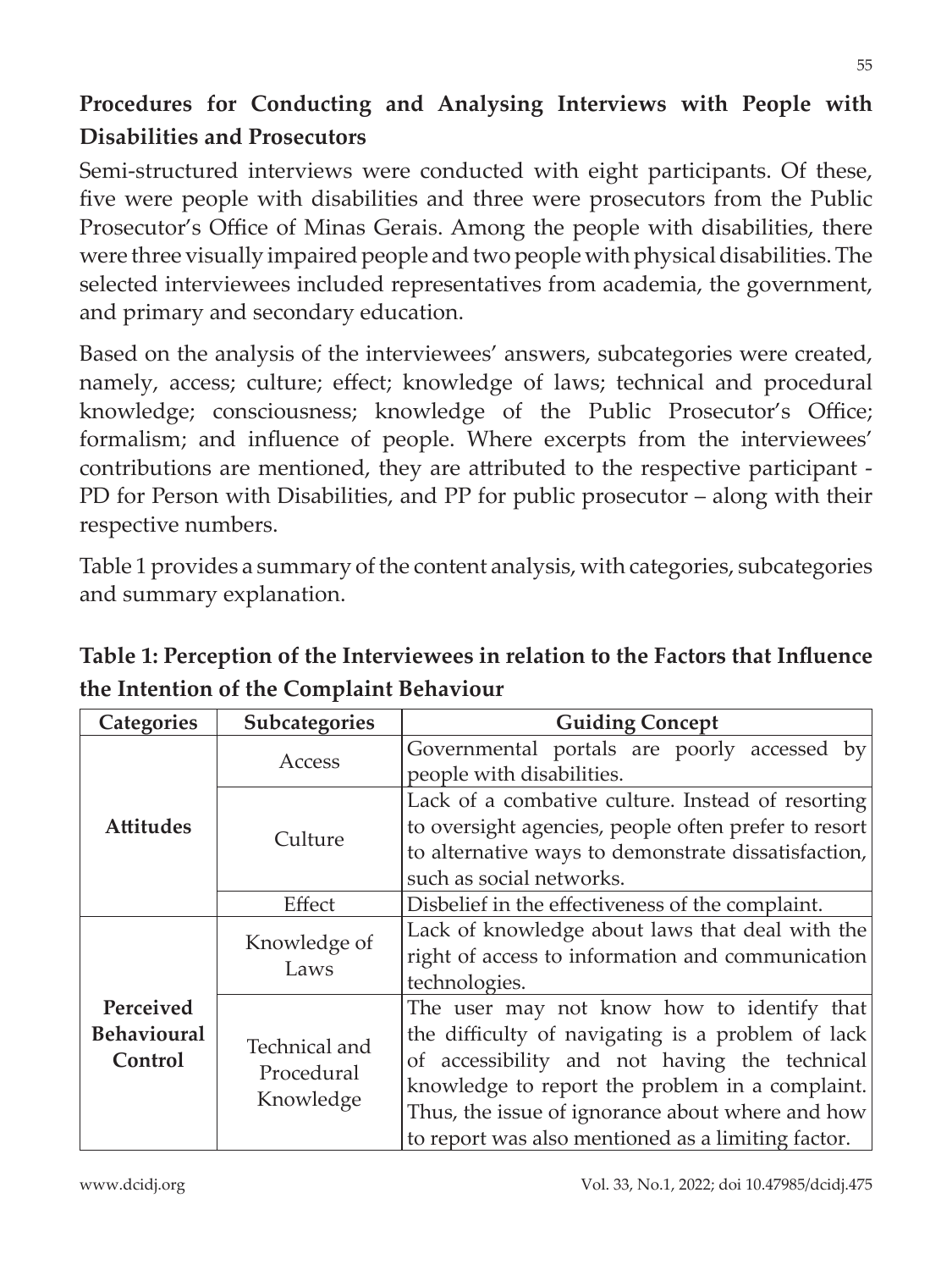### **Procedures for Conducting and Analysing Interviews with People with Disabilities and Prosecutors**

Semi-structured interviews were conducted with eight participants. Of these, five were people with disabilities and three were prosecutors from the Public Prosecutor's Office of Minas Gerais. Among the people with disabilities, there were three visually impaired people and two people with physical disabilities. The selected interviewees included representatives from academia, the government, and primary and secondary education.

Based on the analysis of the interviewees' answers, subcategories were created, namely, access; culture; effect; knowledge of laws; technical and procedural knowledge; consciousness; knowledge of the Public Prosecutor's Office; formalism; and influence of people. Where excerpts from the interviewees' contributions are mentioned, they are attributed to the respective participant - PD for Person with Disabilities, and PP for public prosecutor – along with their respective numbers.

Table 1 provides a summary of the content analysis, with categories, subcategories and summary explanation.

| <b>Categories</b>                          | Subcategories                            | <b>Guiding Concept</b>                               |
|--------------------------------------------|------------------------------------------|------------------------------------------------------|
| <b>Attitudes</b>                           | Access                                   | Governmental portals are poorly accessed by          |
|                                            |                                          | people with disabilities.                            |
|                                            | Culture                                  | Lack of a combative culture. Instead of resorting    |
|                                            |                                          | to oversight agencies, people often prefer to resort |
|                                            |                                          | to alternative ways to demonstrate dissatisfaction,  |
|                                            |                                          | such as social networks.                             |
|                                            | Effect                                   | Disbelief in the effectiveness of the complaint.     |
| Perceived<br><b>Behavioural</b><br>Control | Knowledge of<br>Laws                     | Lack of knowledge about laws that deal with the      |
|                                            |                                          | right of access to information and communication     |
|                                            |                                          | technologies.                                        |
|                                            | Technical and<br>Procedural<br>Knowledge | The user may not know how to identify that           |
|                                            |                                          | the difficulty of navigating is a problem of lack    |
|                                            |                                          | of accessibility and not having the technical        |
|                                            |                                          | knowledge to report the problem in a complaint.      |
|                                            |                                          | Thus, the issue of ignorance about where and how     |
|                                            |                                          | to report was also mentioned as a limiting factor.   |

**Table 1: Perception of the Interviewees in relation to the Factors that Influence the Intention of the Complaint Behaviour**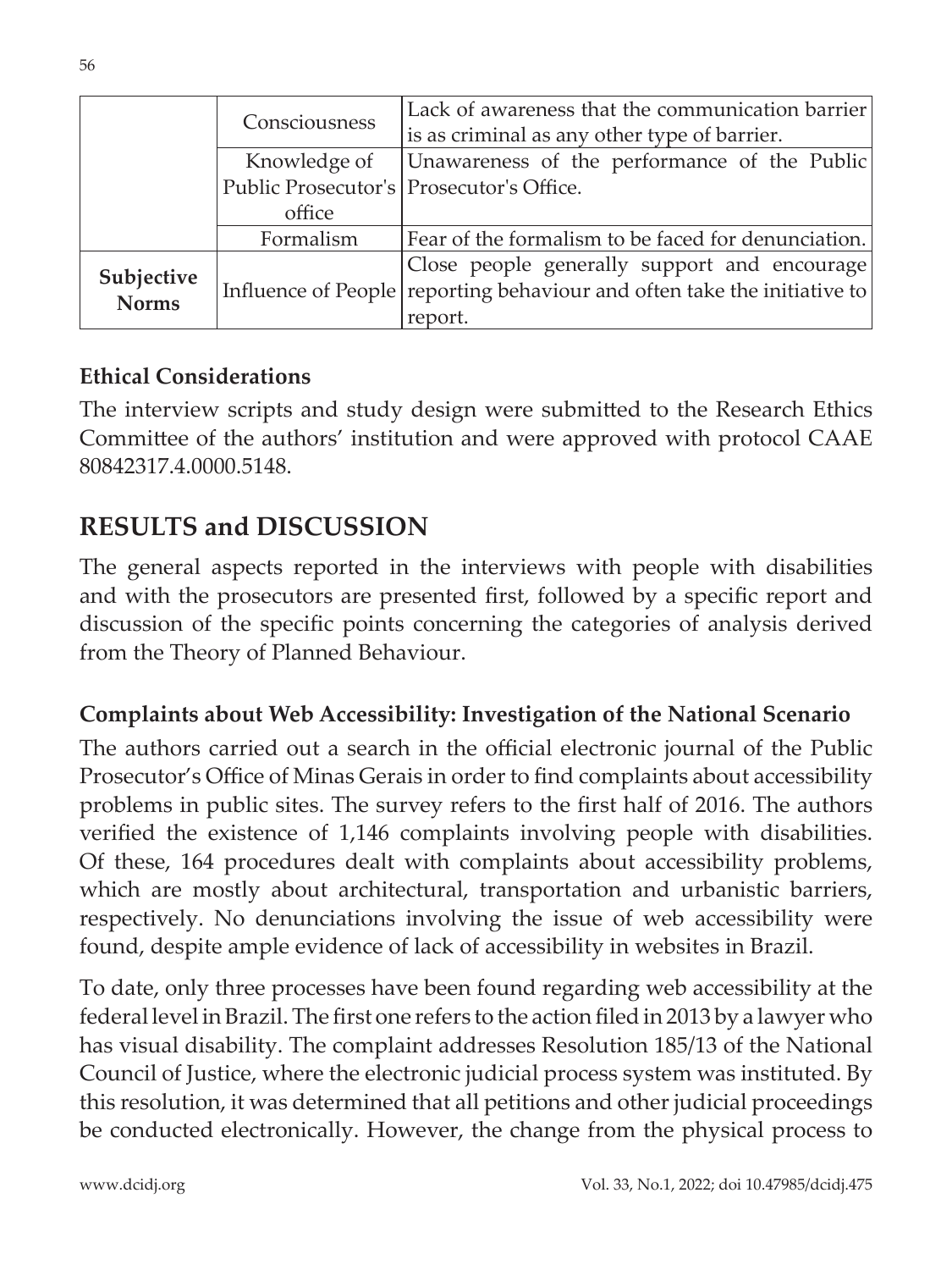|                            | Consciousness | Lack of awareness that the communication barrier                         |
|----------------------------|---------------|--------------------------------------------------------------------------|
|                            |               | is as criminal as any other type of barrier.                             |
|                            | Knowledge of  | Unawareness of the performance of the Public                             |
|                            |               | Public Prosecutor's   Prosecutor's Office.                               |
|                            | office        |                                                                          |
|                            | Formalism     | Fear of the formalism to be faced for denunciation.                      |
|                            |               | Close people generally support and encourage                             |
| Subjective<br><b>Norms</b> |               | Influence of People reporting behaviour and often take the initiative to |
|                            |               | report.                                                                  |

#### **Ethical Considerations**

The interview scripts and study design were submitted to the Research Ethics Committee of the authors' institution and were approved with protocol CAAE 80842317.4.0000.5148.

### **RESULTS and DISCUSSION**

The general aspects reported in the interviews with people with disabilities and with the prosecutors are presented first, followed by a specific report and discussion of the specific points concerning the categories of analysis derived from the Theory of Planned Behaviour.

### **Complaints about Web Accessibility: Investigation of the National Scenario**

The authors carried out a search in the official electronic journal of the Public Prosecutor's Office of Minas Gerais in order to find complaints about accessibility problems in public sites. The survey refers to the first half of 2016. The authors verified the existence of 1,146 complaints involving people with disabilities. Of these, 164 procedures dealt with complaints about accessibility problems, which are mostly about architectural, transportation and urbanistic barriers, respectively. No denunciations involving the issue of web accessibility were found, despite ample evidence of lack of accessibility in websites in Brazil.

To date, only three processes have been found regarding web accessibility at the federal level in Brazil. The first one refers to the action filed in 2013 by a lawyer who has visual disability. The complaint addresses Resolution 185/13 of the National Council of Justice, where the electronic judicial process system was instituted. By this resolution, it was determined that all petitions and other judicial proceedings be conducted electronically. However, the change from the physical process to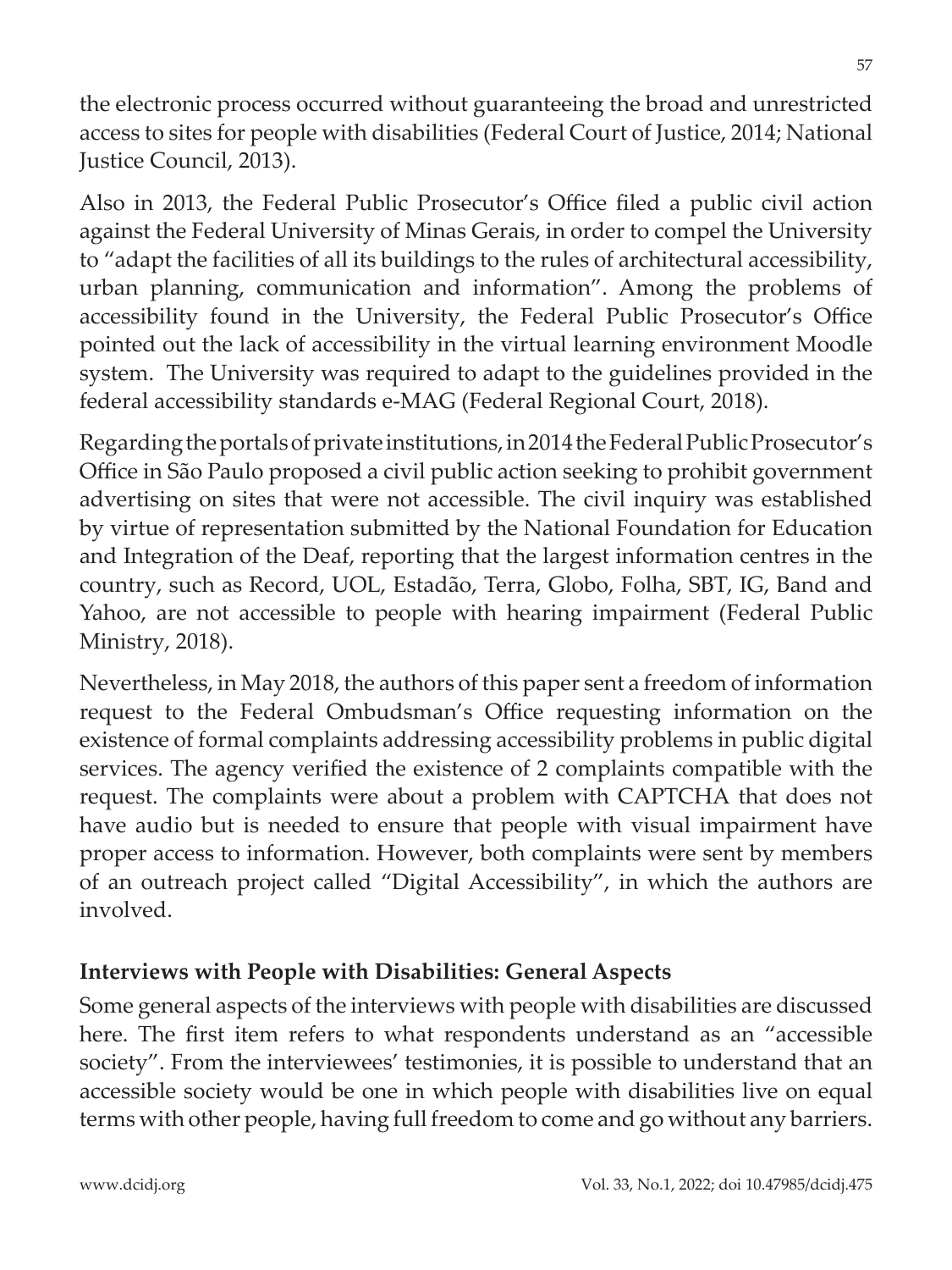the electronic process occurred without guaranteeing the broad and unrestricted access to sites for people with disabilities (Federal Court of Justice, 2014; National Justice Council, 2013).

Also in 2013, the Federal Public Prosecutor's Office filed a public civil action against the Federal University of Minas Gerais, in order to compel the University to "adapt the facilities of all its buildings to the rules of architectural accessibility, urban planning, communication and information". Among the problems of accessibility found in the University, the Federal Public Prosecutor's Office pointed out the lack of accessibility in the virtual learning environment Moodle system. The University was required to adapt to the guidelines provided in the federal accessibility standards e-MAG (Federal Regional Court, 2018).

Regarding the portals of private institutions, in 2014 the Federal Public Prosecutor's Office in São Paulo proposed a civil public action seeking to prohibit government advertising on sites that were not accessible. The civil inquiry was established by virtue of representation submitted by the National Foundation for Education and Integration of the Deaf, reporting that the largest information centres in the country, such as Record, UOL, Estadão, Terra, Globo, Folha, SBT, IG, Band and Yahoo, are not accessible to people with hearing impairment (Federal Public Ministry, 2018).

Nevertheless, in May 2018, the authors of this paper sent a freedom of information request to the Federal Ombudsman's Office requesting information on the existence of formal complaints addressing accessibility problems in public digital services. The agency verified the existence of 2 complaints compatible with the request. The complaints were about a problem with CAPTCHA that does not have audio but is needed to ensure that people with visual impairment have proper access to information. However, both complaints were sent by members of an outreach project called "Digital Accessibility", in which the authors are involved.

#### **Interviews with People with Disabilities: General Aspects**

Some general aspects of the interviews with people with disabilities are discussed here. The first item refers to what respondents understand as an "accessible society". From the interviewees' testimonies, it is possible to understand that an accessible society would be one in which people with disabilities live on equal terms with other people, having full freedom to come and go without any barriers.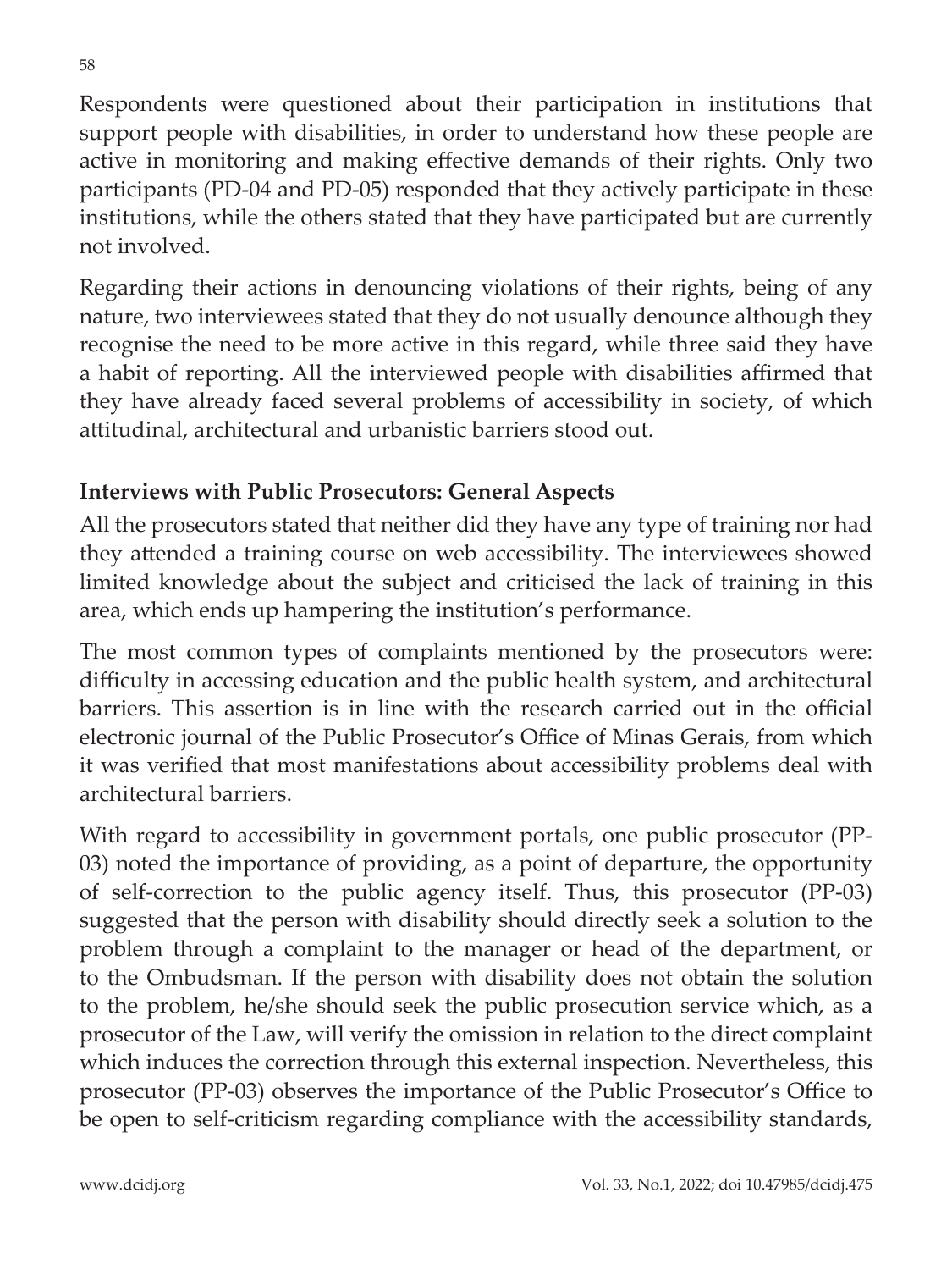Respondents were questioned about their participation in institutions that support people with disabilities, in order to understand how these people are active in monitoring and making effective demands of their rights. Only two participants (PD-04 and PD-05) responded that they actively participate in these institutions, while the others stated that they have participated but are currently not involved.

Regarding their actions in denouncing violations of their rights, being of any nature, two interviewees stated that they do not usually denounce although they recognise the need to be more active in this regard, while three said they have a habit of reporting. All the interviewed people with disabilities affirmed that they have already faced several problems of accessibility in society, of which attitudinal, architectural and urbanistic barriers stood out.

### **Interviews with Public Prosecutors: General Aspects**

All the prosecutors stated that neither did they have any type of training nor had they attended a training course on web accessibility. The interviewees showed limited knowledge about the subject and criticised the lack of training in this area, which ends up hampering the institution's performance.

The most common types of complaints mentioned by the prosecutors were: difficulty in accessing education and the public health system, and architectural barriers. This assertion is in line with the research carried out in the official electronic journal of the Public Prosecutor's Office of Minas Gerais, from which it was verified that most manifestations about accessibility problems deal with architectural barriers.

With regard to accessibility in government portals, one public prosecutor (PP-03) noted the importance of providing, as a point of departure, the opportunity of self-correction to the public agency itself. Thus, this prosecutor (PP-03) suggested that the person with disability should directly seek a solution to the problem through a complaint to the manager or head of the department, or to the Ombudsman. If the person with disability does not obtain the solution to the problem, he/she should seek the public prosecution service which, as a prosecutor of the Law, will verify the omission in relation to the direct complaint which induces the correction through this external inspection. Nevertheless, this prosecutor (PP-03) observes the importance of the Public Prosecutor's Office to be open to self-criticism regarding compliance with the accessibility standards,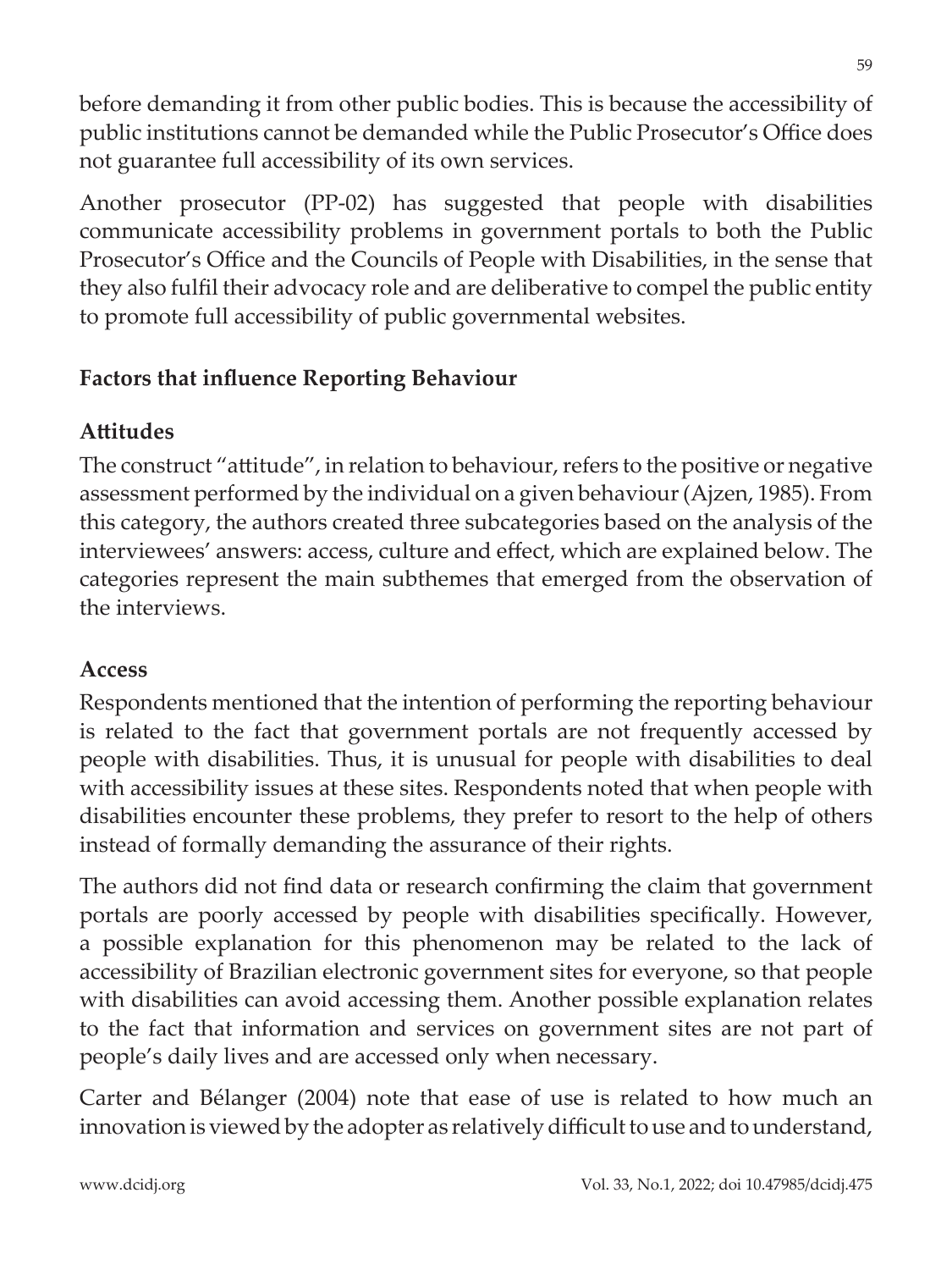before demanding it from other public bodies. This is because the accessibility of public institutions cannot be demanded while the Public Prosecutor's Office does not guarantee full accessibility of its own services.

Another prosecutor (PP-02) has suggested that people with disabilities communicate accessibility problems in government portals to both the Public Prosecutor's Office and the Councils of People with Disabilities, in the sense that they also fulfil their advocacy role and are deliberative to compel the public entity to promote full accessibility of public governmental websites.

#### **Factors that influence Reporting Behaviour**

#### **Attitudes**

The construct "attitude", in relation to behaviour, refers to the positive or negative assessment performed by the individual on a given behaviour (Ajzen, 1985). From this category, the authors created three subcategories based on the analysis of the interviewees' answers: access, culture and effect, which are explained below. The categories represent the main subthemes that emerged from the observation of the interviews.

#### **Access**

Respondents mentioned that the intention of performing the reporting behaviour is related to the fact that government portals are not frequently accessed by people with disabilities. Thus, it is unusual for people with disabilities to deal with accessibility issues at these sites. Respondents noted that when people with disabilities encounter these problems, they prefer to resort to the help of others instead of formally demanding the assurance of their rights.

The authors did not find data or research confirming the claim that government portals are poorly accessed by people with disabilities specifically. However, a possible explanation for this phenomenon may be related to the lack of accessibility of Brazilian electronic government sites for everyone, so that people with disabilities can avoid accessing them. Another possible explanation relates to the fact that information and services on government sites are not part of people's daily lives and are accessed only when necessary.

Carter and Bélanger (2004) note that ease of use is related to how much an innovation is viewed by the adopter as relatively difficult to use and to understand,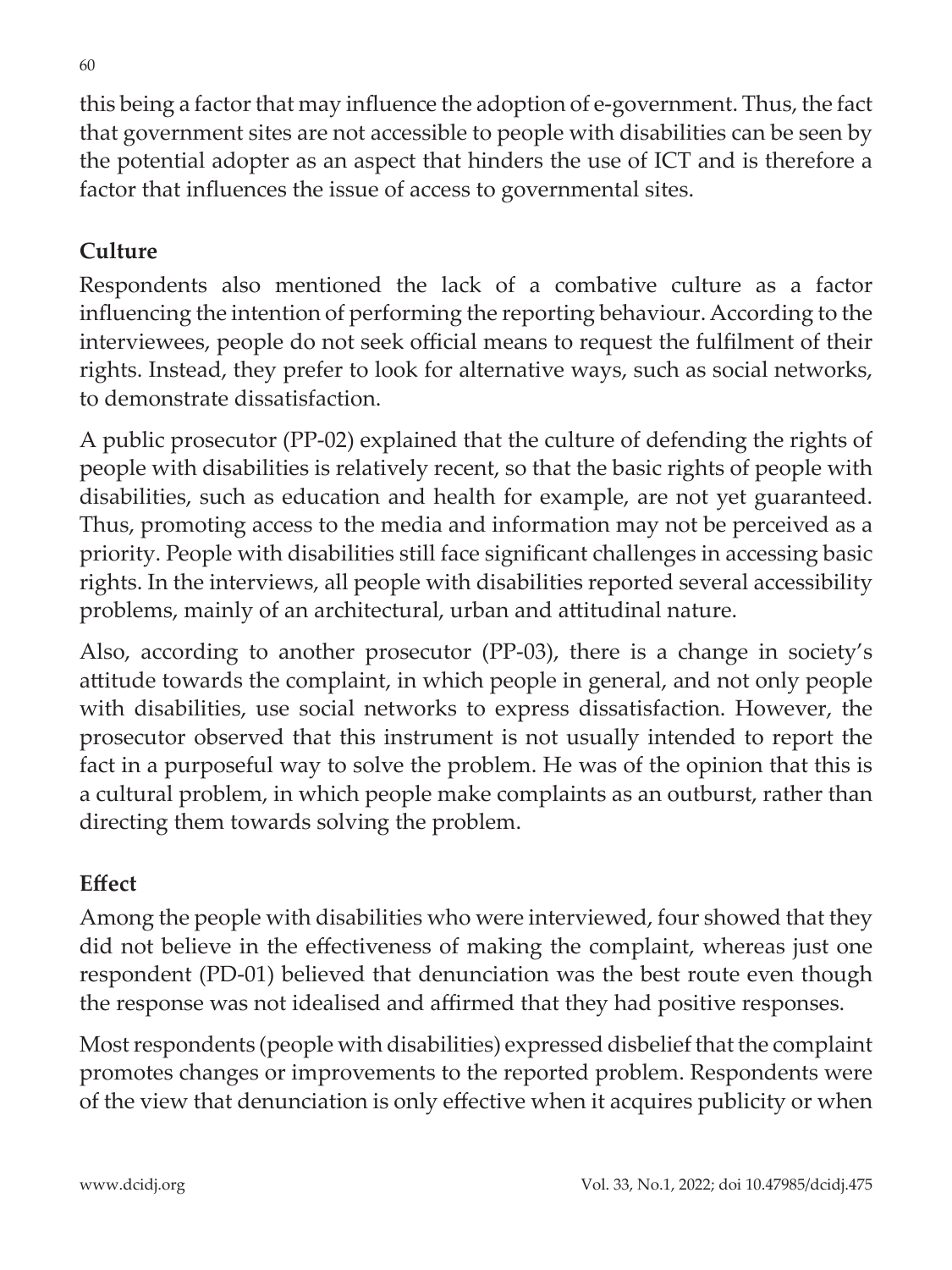this being a factor that may influence the adoption of e-government. Thus, the fact that government sites are not accessible to people with disabilities can be seen by the potential adopter as an aspect that hinders the use of ICT and is therefore a factor that influences the issue of access to governmental sites.

### **Culture**

Respondents also mentioned the lack of a combative culture as a factor influencing the intention of performing the reporting behaviour. According to the interviewees, people do not seek official means to request the fulfilment of their rights. Instead, they prefer to look for alternative ways, such as social networks, to demonstrate dissatisfaction.

A public prosecutor (PP-02) explained that the culture of defending the rights of people with disabilities is relatively recent, so that the basic rights of people with disabilities, such as education and health for example, are not yet guaranteed. Thus, promoting access to the media and information may not be perceived as a priority. People with disabilities still face significant challenges in accessing basic rights. In the interviews, all people with disabilities reported several accessibility problems, mainly of an architectural, urban and attitudinal nature.

Also, according to another prosecutor (PP-03), there is a change in society's attitude towards the complaint, in which people in general, and not only people with disabilities, use social networks to express dissatisfaction. However, the prosecutor observed that this instrument is not usually intended to report the fact in a purposeful way to solve the problem. He was of the opinion that this is a cultural problem, in which people make complaints as an outburst, rather than directing them towards solving the problem.

#### **Effect**

Among the people with disabilities who were interviewed, four showed that they did not believe in the effectiveness of making the complaint, whereas just one respondent (PD-01) believed that denunciation was the best route even though the response was not idealised and affirmed that they had positive responses.

Most respondents (people with disabilities) expressed disbelief that the complaint promotes changes or improvements to the reported problem. Respondents were of the view that denunciation is only effective when it acquires publicity or when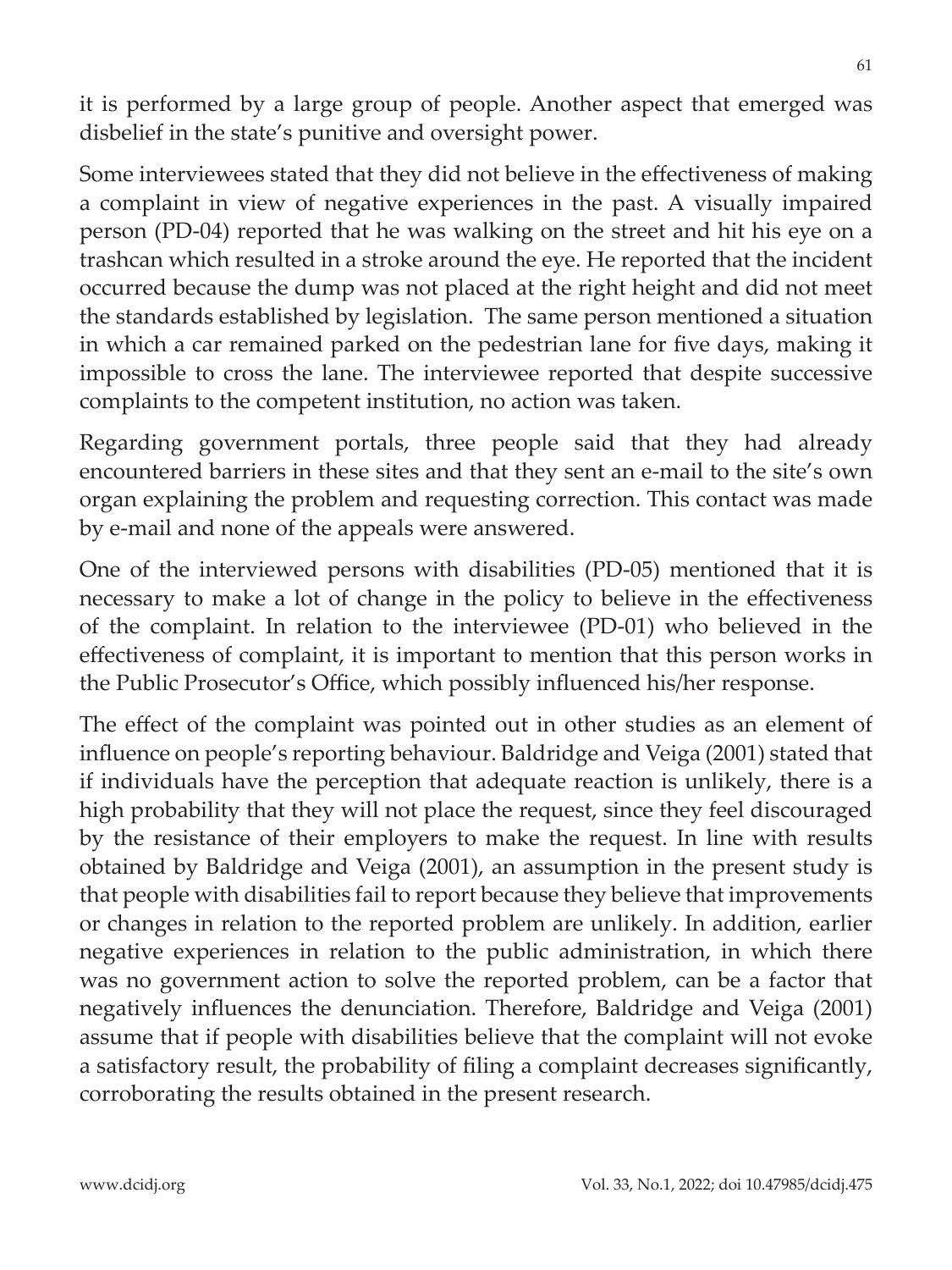it is performed by a large group of people. Another aspect that emerged was disbelief in the state's punitive and oversight power.

Some interviewees stated that they did not believe in the effectiveness of making a complaint in view of negative experiences in the past. A visually impaired person (PD-04) reported that he was walking on the street and hit his eye on a trashcan which resulted in a stroke around the eye. He reported that the incident occurred because the dump was not placed at the right height and did not meet the standards established by legislation. The same person mentioned a situation in which a car remained parked on the pedestrian lane for five days, making it impossible to cross the lane. The interviewee reported that despite successive complaints to the competent institution, no action was taken.

Regarding government portals, three people said that they had already encountered barriers in these sites and that they sent an e-mail to the site's own organ explaining the problem and requesting correction. This contact was made by e-mail and none of the appeals were answered.

One of the interviewed persons with disabilities (PD-05) mentioned that it is necessary to make a lot of change in the policy to believe in the effectiveness of the complaint. In relation to the interviewee (PD-01) who believed in the effectiveness of complaint, it is important to mention that this person works in the Public Prosecutor's Office, which possibly influenced his/her response.

The effect of the complaint was pointed out in other studies as an element of influence on people's reporting behaviour. Baldridge and Veiga (2001) stated that if individuals have the perception that adequate reaction is unlikely, there is a high probability that they will not place the request, since they feel discouraged by the resistance of their employers to make the request. In line with results obtained by Baldridge and Veiga (2001), an assumption in the present study is that people with disabilities fail to report because they believe that improvements or changes in relation to the reported problem are unlikely. In addition, earlier negative experiences in relation to the public administration, in which there was no government action to solve the reported problem, can be a factor that negatively influences the denunciation. Therefore, Baldridge and Veiga (2001) assume that if people with disabilities believe that the complaint will not evoke a satisfactory result, the probability of filing a complaint decreases significantly, corroborating the results obtained in the present research.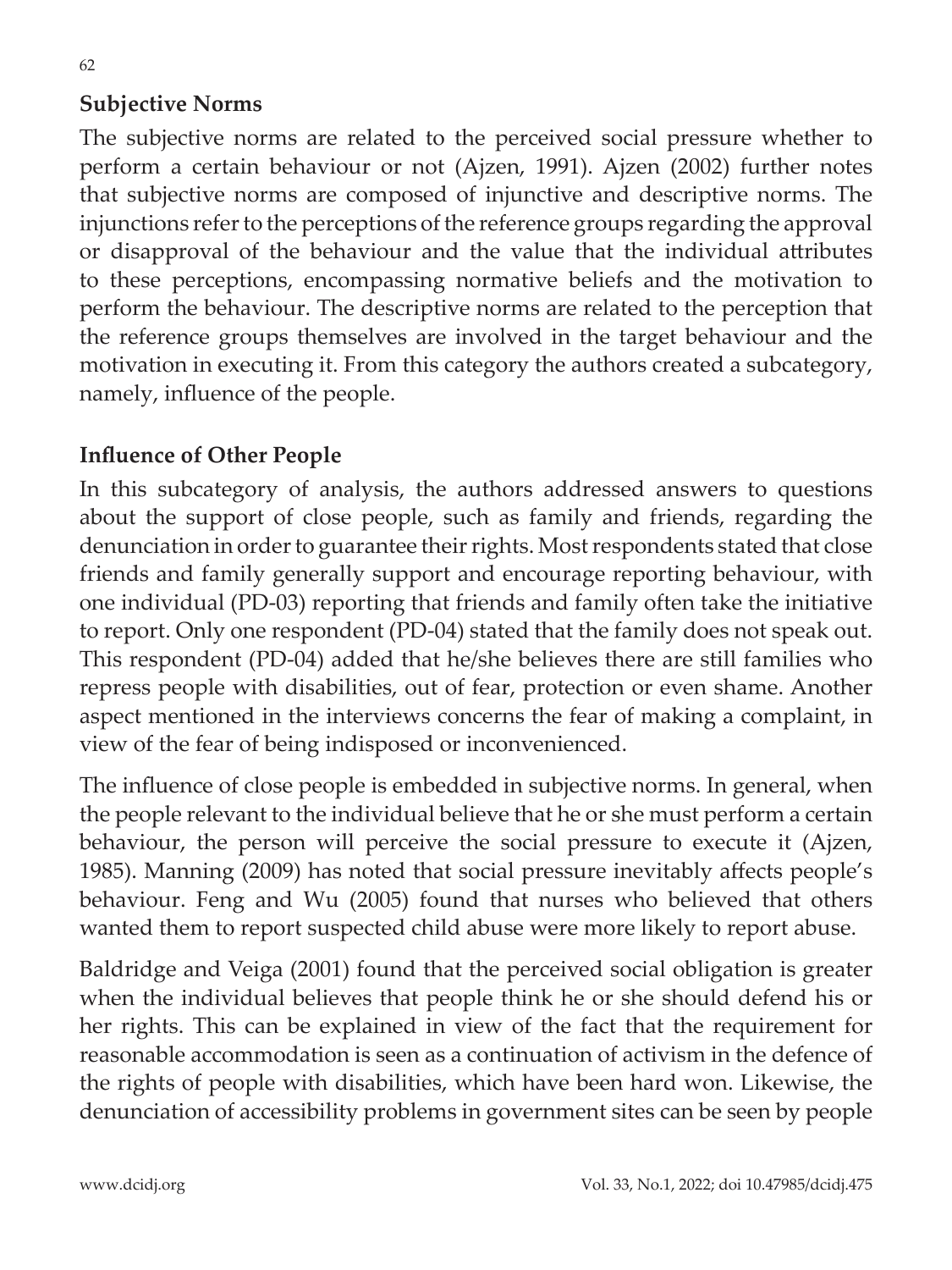#### **Subjective Norms**

The subjective norms are related to the perceived social pressure whether to perform a certain behaviour or not (Ajzen, 1991). Ajzen (2002) further notes that subjective norms are composed of injunctive and descriptive norms. The injunctions refer to the perceptions of the reference groups regarding the approval or disapproval of the behaviour and the value that the individual attributes to these perceptions, encompassing normative beliefs and the motivation to perform the behaviour. The descriptive norms are related to the perception that the reference groups themselves are involved in the target behaviour and the motivation in executing it. From this category the authors created a subcategory, namely, influence of the people.

#### **Influence of Other People**

In this subcategory of analysis, the authors addressed answers to questions about the support of close people, such as family and friends, regarding the denunciation in order to guarantee their rights. Most respondents stated that close friends and family generally support and encourage reporting behaviour, with one individual (PD-03) reporting that friends and family often take the initiative to report. Only one respondent (PD-04) stated that the family does not speak out. This respondent (PD-04) added that he/she believes there are still families who repress people with disabilities, out of fear, protection or even shame. Another aspect mentioned in the interviews concerns the fear of making a complaint, in view of the fear of being indisposed or inconvenienced.

The influence of close people is embedded in subjective norms. In general, when the people relevant to the individual believe that he or she must perform a certain behaviour, the person will perceive the social pressure to execute it (Ajzen, 1985). Manning (2009) has noted that social pressure inevitably affects people's behaviour. Feng and Wu (2005) found that nurses who believed that others wanted them to report suspected child abuse were more likely to report abuse.

Baldridge and Veiga (2001) found that the perceived social obligation is greater when the individual believes that people think he or she should defend his or her rights. This can be explained in view of the fact that the requirement for reasonable accommodation is seen as a continuation of activism in the defence of the rights of people with disabilities, which have been hard won. Likewise, the denunciation of accessibility problems in government sites can be seen by people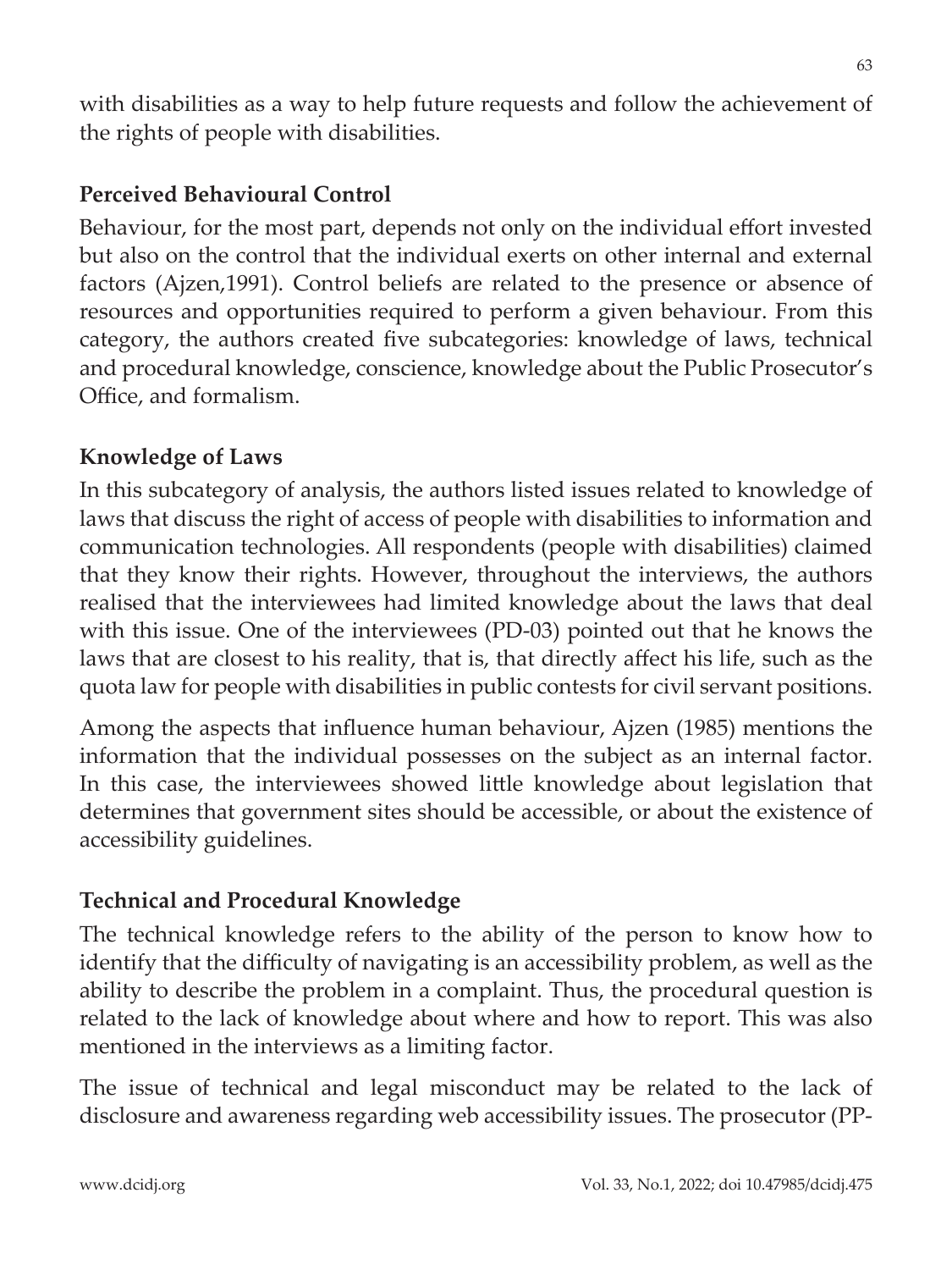with disabilities as a way to help future requests and follow the achievement of the rights of people with disabilities.

#### **Perceived Behavioural Control**

Behaviour, for the most part, depends not only on the individual effort invested but also on the control that the individual exerts on other internal and external factors (Ajzen,1991). Control beliefs are related to the presence or absence of resources and opportunities required to perform a given behaviour. From this category, the authors created five subcategories: knowledge of laws, technical and procedural knowledge, conscience, knowledge about the Public Prosecutor's Office, and formalism.

#### **Knowledge of Laws**

In this subcategory of analysis, the authors listed issues related to knowledge of laws that discuss the right of access of people with disabilities to information and communication technologies. All respondents (people with disabilities) claimed that they know their rights. However, throughout the interviews, the authors realised that the interviewees had limited knowledge about the laws that deal with this issue. One of the interviewees (PD-03) pointed out that he knows the laws that are closest to his reality, that is, that directly affect his life, such as the quota law for people with disabilities in public contests for civil servant positions.

Among the aspects that influence human behaviour, Ajzen (1985) mentions the information that the individual possesses on the subject as an internal factor. In this case, the interviewees showed little knowledge about legislation that determines that government sites should be accessible, or about the existence of accessibility guidelines.

#### **Technical and Procedural Knowledge**

The technical knowledge refers to the ability of the person to know how to identify that the difficulty of navigating is an accessibility problem, as well as the ability to describe the problem in a complaint. Thus, the procedural question is related to the lack of knowledge about where and how to report. This was also mentioned in the interviews as a limiting factor.

The issue of technical and legal misconduct may be related to the lack of disclosure and awareness regarding web accessibility issues. The prosecutor (PP-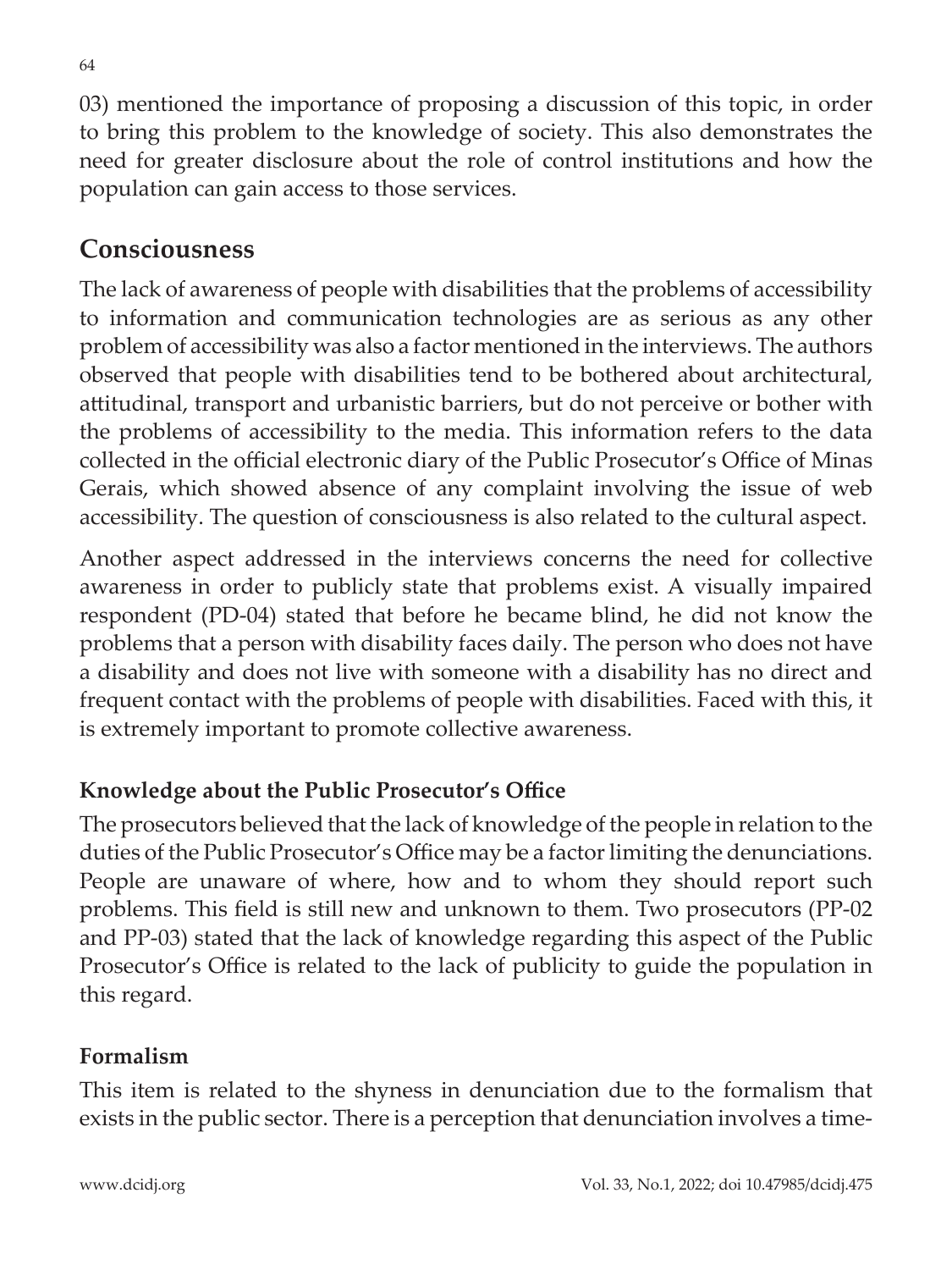03) mentioned the importance of proposing a discussion of this topic, in order to bring this problem to the knowledge of society. This also demonstrates the need for greater disclosure about the role of control institutions and how the population can gain access to those services.

### **Consciousness**

The lack of awareness of people with disabilities that the problems of accessibility to information and communication technologies are as serious as any other problem of accessibility was also a factor mentioned in the interviews. The authors observed that people with disabilities tend to be bothered about architectural, attitudinal, transport and urbanistic barriers, but do not perceive or bother with the problems of accessibility to the media. This information refers to the data collected in the official electronic diary of the Public Prosecutor's Office of Minas Gerais, which showed absence of any complaint involving the issue of web accessibility. The question of consciousness is also related to the cultural aspect.

Another aspect addressed in the interviews concerns the need for collective awareness in order to publicly state that problems exist. A visually impaired respondent (PD-04) stated that before he became blind, he did not know the problems that a person with disability faces daily. The person who does not have a disability and does not live with someone with a disability has no direct and frequent contact with the problems of people with disabilities. Faced with this, it is extremely important to promote collective awareness.

#### **Knowledge about the Public Prosecutor's Office**

The prosecutors believed that the lack of knowledge of the people in relation to the duties of the Public Prosecutor's Office may be a factor limiting the denunciations. People are unaware of where, how and to whom they should report such problems. This field is still new and unknown to them. Two prosecutors (PP-02 and PP-03) stated that the lack of knowledge regarding this aspect of the Public Prosecutor's Office is related to the lack of publicity to guide the population in this regard.

#### **Formalism**

This item is related to the shyness in denunciation due to the formalism that exists in the public sector. There is a perception that denunciation involves a time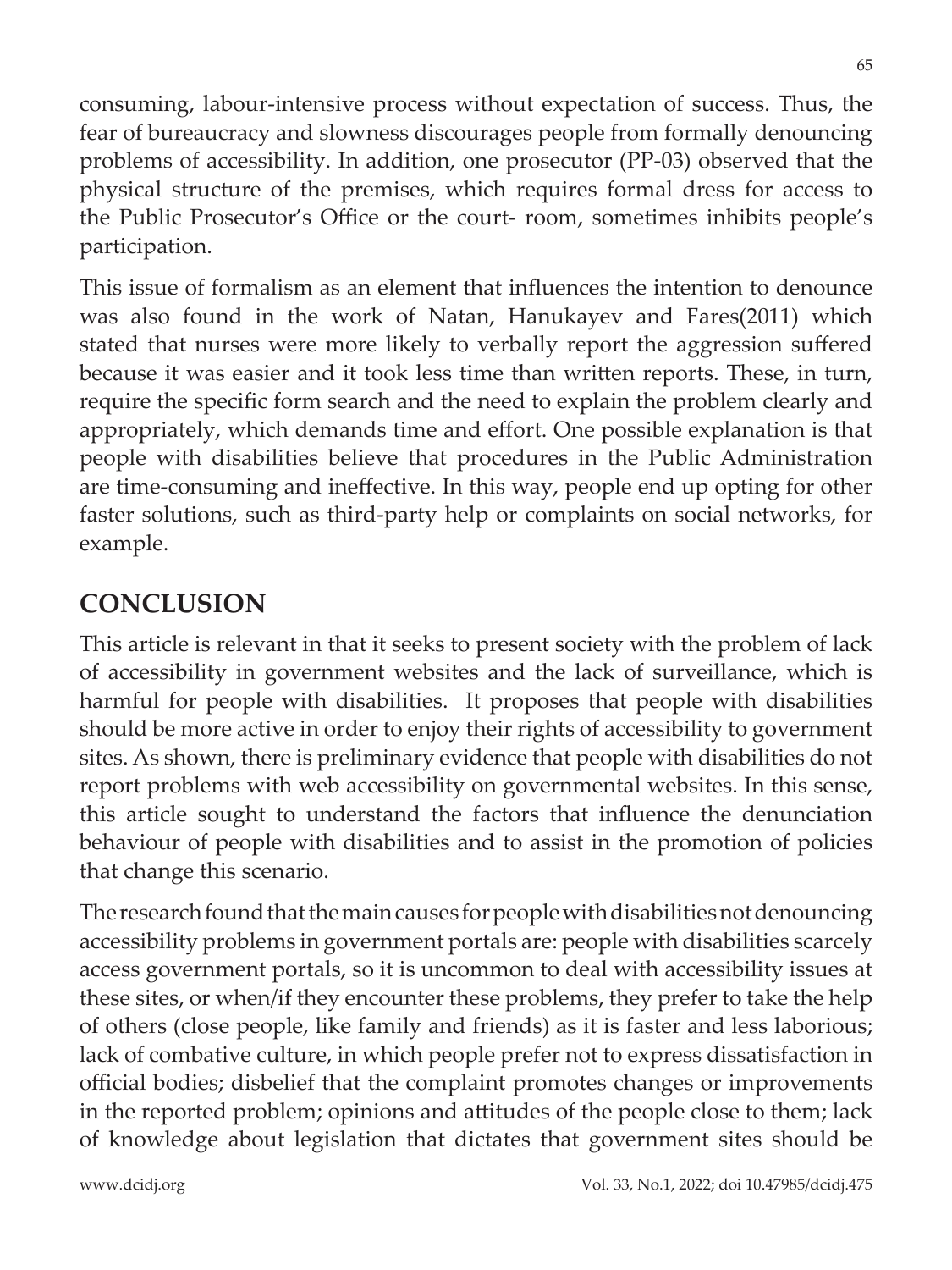consuming, labour-intensive process without expectation of success. Thus, the fear of bureaucracy and slowness discourages people from formally denouncing problems of accessibility. In addition, one prosecutor (PP-03) observed that the physical structure of the premises, which requires formal dress for access to the Public Prosecutor's Office or the court- room, sometimes inhibits people's participation.

This issue of formalism as an element that influences the intention to denounce was also found in the work of Natan, Hanukayev and Fares(2011) which stated that nurses were more likely to verbally report the aggression suffered because it was easier and it took less time than written reports. These, in turn, require the specific form search and the need to explain the problem clearly and appropriately, which demands time and effort. One possible explanation is that people with disabilities believe that procedures in the Public Administration are time-consuming and ineffective. In this way, people end up opting for other faster solutions, such as third-party help or complaints on social networks, for example.

## **CONCLUSION**

This article is relevant in that it seeks to present society with the problem of lack of accessibility in government websites and the lack of surveillance, which is harmful for people with disabilities. It proposes that people with disabilities should be more active in order to enjoy their rights of accessibility to government sites. As shown, there is preliminary evidence that people with disabilities do not report problems with web accessibility on governmental websites. In this sense, this article sought to understand the factors that influence the denunciation behaviour of people with disabilities and to assist in the promotion of policies that change this scenario.

The research found that the main causes for people with disabilities not denouncing accessibility problems in government portals are: people with disabilities scarcely access government portals, so it is uncommon to deal with accessibility issues at these sites, or when/if they encounter these problems, they prefer to take the help of others (close people, like family and friends) as it is faster and less laborious; lack of combative culture, in which people prefer not to express dissatisfaction in official bodies; disbelief that the complaint promotes changes or improvements in the reported problem; opinions and attitudes of the people close to them; lack of knowledge about legislation that dictates that government sites should be

65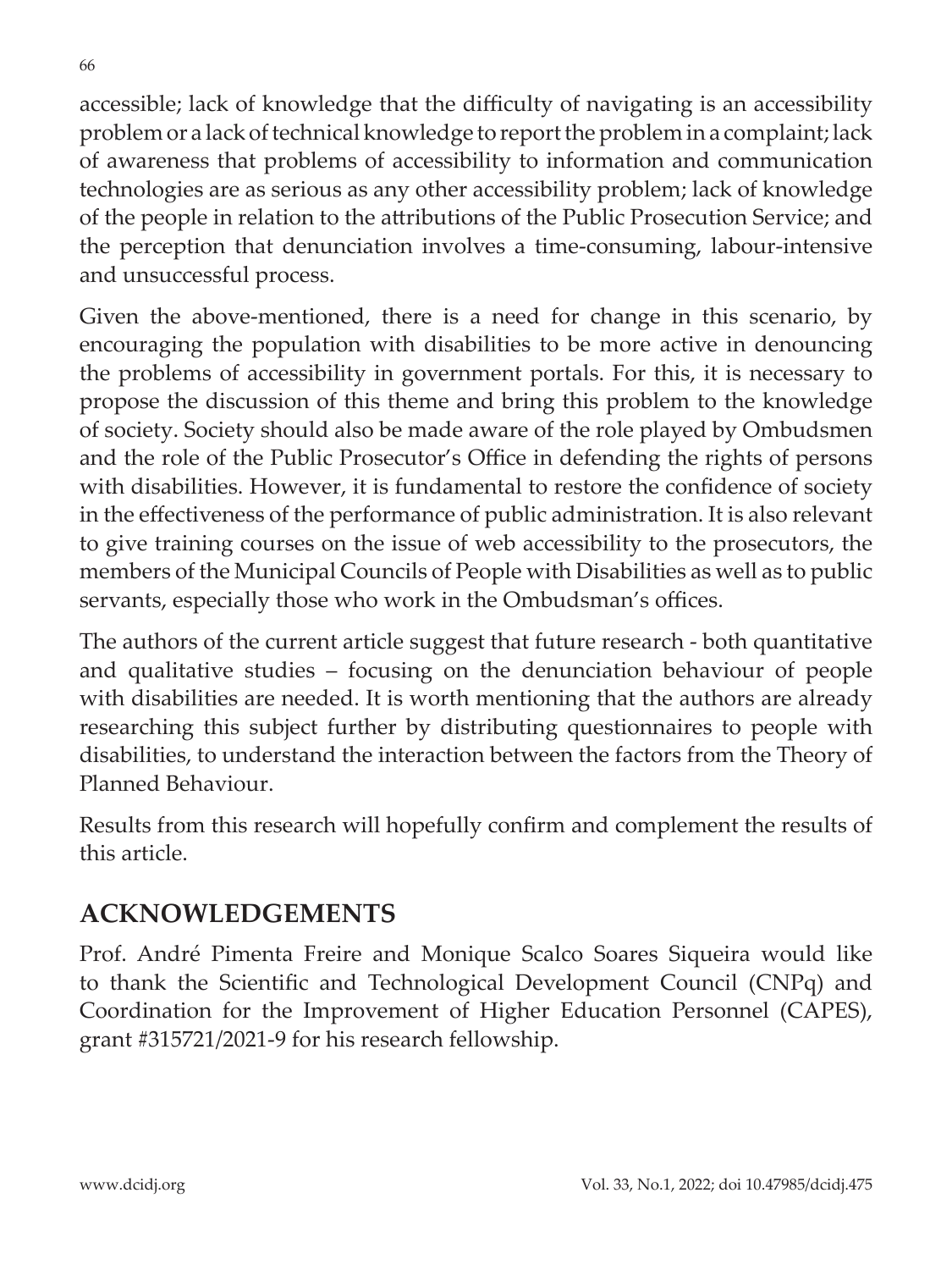accessible; lack of knowledge that the difficulty of navigating is an accessibility problem or a lack of technical knowledge to report the problem in a complaint; lack of awareness that problems of accessibility to information and communication technologies are as serious as any other accessibility problem; lack of knowledge of the people in relation to the attributions of the Public Prosecution Service; and the perception that denunciation involves a time-consuming, labour-intensive and unsuccessful process.

Given the above-mentioned, there is a need for change in this scenario, by encouraging the population with disabilities to be more active in denouncing the problems of accessibility in government portals. For this, it is necessary to propose the discussion of this theme and bring this problem to the knowledge of society. Society should also be made aware of the role played by Ombudsmen and the role of the Public Prosecutor's Office in defending the rights of persons with disabilities. However, it is fundamental to restore the confidence of society in the effectiveness of the performance of public administration. It is also relevant to give training courses on the issue of web accessibility to the prosecutors, the members of the Municipal Councils of People with Disabilities as well as to public servants, especially those who work in the Ombudsman's offices.

The authors of the current article suggest that future research - both quantitative and qualitative studies – focusing on the denunciation behaviour of people with disabilities are needed. It is worth mentioning that the authors are already researching this subject further by distributing questionnaires to people with disabilities, to understand the interaction between the factors from the Theory of Planned Behaviour.

Results from this research will hopefully confirm and complement the results of this article.

### **ACKNOWLEDGEMENTS**

Prof. André Pimenta Freire and Monique Scalco Soares Siqueira would like to thank the Scientific and Technological Development Council (CNPq) and Coordination for the Improvement of Higher Education Personnel (CAPES), grant #315721/2021-9 for his research fellowship.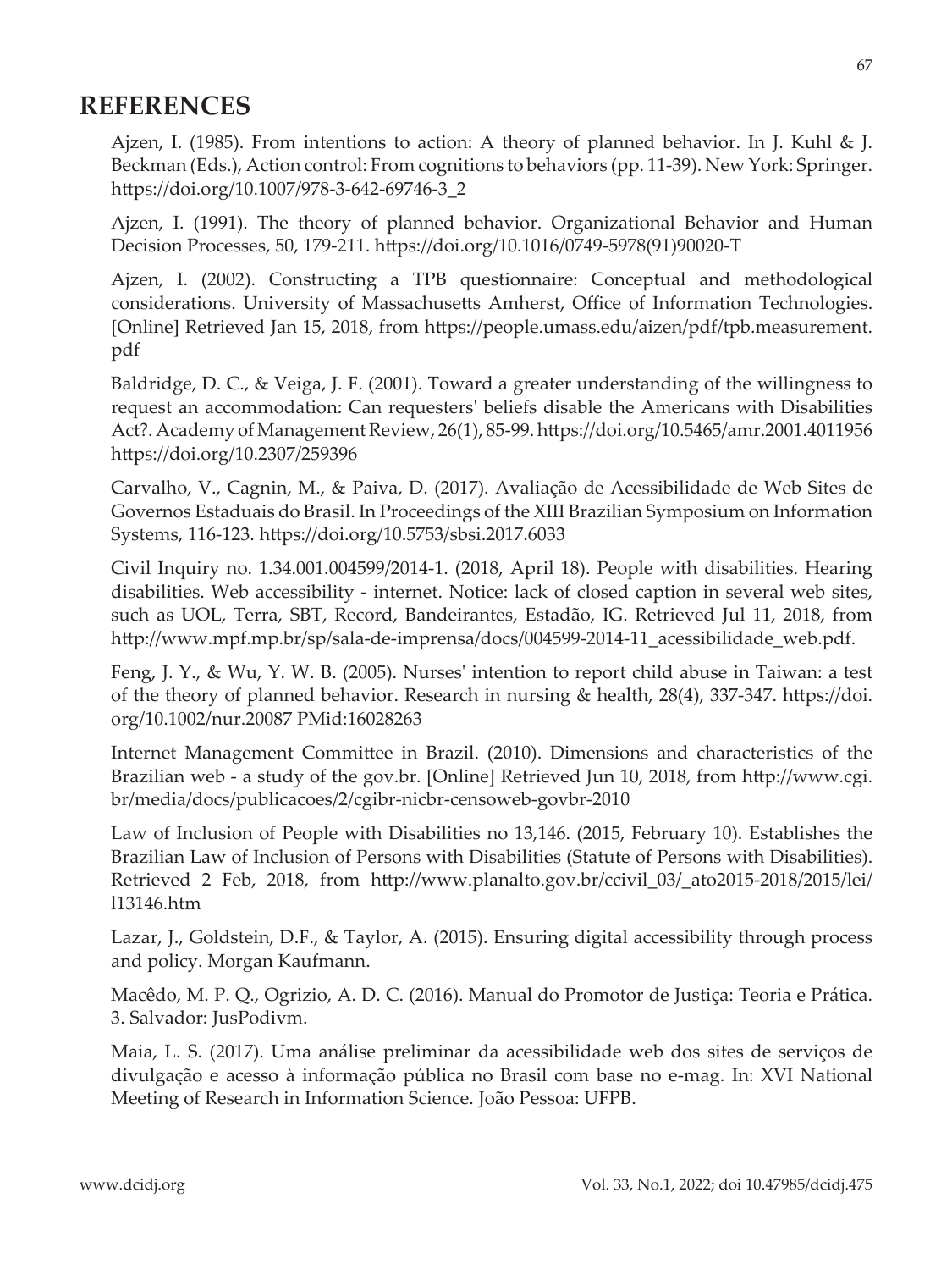### **REFERENCES**

Ajzen, I. (1985). From intentions to action: A theory of planned behavior. In J. Kuhl & J. Beckman (Eds.), Action control: From cognitions to behaviors (pp. 11-39). New York: Springer. https://doi.org/10.1007/978-3-642-69746-3\_2

Ajzen, I. (1991). The theory of planned behavior. Organizational Behavior and Human Decision Processes, 50, 179-211. https://doi.org/10.1016/0749-5978(91)90020-T

Ajzen, I. (2002). Constructing a TPB questionnaire: Conceptual and methodological considerations. University of Massachusetts Amherst, Office of Information Technologies. [Online] Retrieved Jan 15, 2018, from https://people.umass.edu/aizen/pdf/tpb.measurement. pdf

Baldridge, D. C., & Veiga, J. F. (2001). Toward a greater understanding of the willingness to request an accommodation: Can requesters' beliefs disable the Americans with Disabilities Act?. Academy of Management Review, 26(1), 85-99. https://doi.org/10.5465/amr.2001.4011956 https://doi.org/10.2307/259396

Carvalho, V., Cagnin, M., & Paiva, D. (2017). Avaliação de Acessibilidade de Web Sites de Governos Estaduais do Brasil. In Proceedings of the XIII Brazilian Symposium on Information Systems, 116-123. https://doi.org/10.5753/sbsi.2017.6033

Civil Inquiry no. 1.34.001.004599/2014-1. (2018, April 18). People with disabilities. Hearing disabilities. Web accessibility - internet. Notice: lack of closed caption in several web sites, such as UOL, Terra, SBT, Record, Bandeirantes, Estadão, IG. Retrieved Jul 11, 2018, from http://www.mpf.mp.br/sp/sala-de-imprensa/docs/004599-2014-11\_acessibilidade\_web.pdf.

Feng, J. Y., & Wu, Y. W. B. (2005). Nurses' intention to report child abuse in Taiwan: a test of the theory of planned behavior. Research in nursing & health, 28(4), 337-347. https://doi. org/10.1002/nur.20087 PMid:16028263

Internet Management Committee in Brazil. (2010). Dimensions and characteristics of the Brazilian web - a study of the gov.br. [Online] Retrieved Jun 10, 2018, from http://www.cgi. br/media/docs/publicacoes/2/cgibr-nicbr-censoweb-govbr-2010

Law of Inclusion of People with Disabilities no 13,146. (2015, February 10). Establishes the Brazilian Law of Inclusion of Persons with Disabilities (Statute of Persons with Disabilities). Retrieved 2 Feb, 2018, from http://www.planalto.gov.br/ccivil\_03/\_ato2015-2018/2015/lei/ l13146.htm

Lazar, J., Goldstein, D.F., & Taylor, A. (2015). Ensuring digital accessibility through process and policy. Morgan Kaufmann.

Macêdo, M. P. Q., Ogrizio, A. D. C. (2016). Manual do Promotor de Justiça: Teoria e Prática. 3. Salvador: JusPodivm.

Maia, L. S. (2017). Uma análise preliminar da acessibilidade web dos sites de serviços de divulgação e acesso à informação pública no Brasil com base no e-mag. In: XVI National Meeting of Research in Information Science. João Pessoa: UFPB.